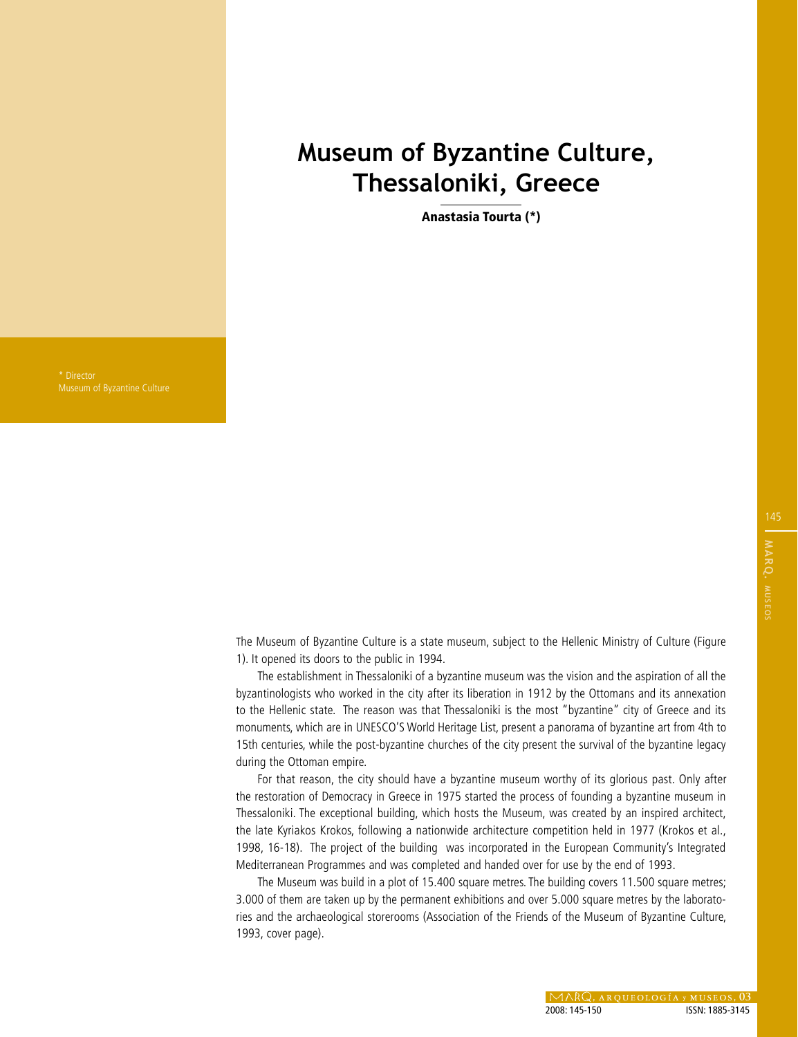## **Museum of Byzantine Culture, Thessaloniki, Greece**

Anastasia Tourta (\*)

Museum of Byzantine Culture

The Museum of Byzantine Culture is a state museum, subject to the Hellenic Ministry of Culture (Figure 1). It opened its doors to the public in 1994.

The establishment in Thessaloniki of a byzantine museum was the vision and the aspiration of all the byzantinologists who worked in the city after its liberation in 1912 by the Ottomans and its annexation to the Hellenic state. The reason was that Thessaloniki is the most "byzantine" city of Greece and its monuments, which are in UNESCO'S World Heritage List, present a panorama of byzantine art from 4th to 15th centuries, while the post-byzantine churches of the city present the survival of the byzantine legacy during the Ottoman empire.

For that reason, the city should have a byzantine museum worthy of its glorious past. Only after the restoration of Democracy in Greece in 1975 started the process of founding a byzantine museum in Thessaloniki. The exceptional building, which hosts the Museum, was created by an inspired architect, the late Kyriakos Krokos, following a nationwide architecture competition held in 1977 (Krokos et al., 1998, 16-18). The project of the building was incorporated in the European Community's Integrated Mediterranean Programmes and was completed and handed over for use by the end of 1993.

The Museum was build in a plot of 15.400 square metres. The building covers 11.500 square metres; 3.000 of them are taken up by the permanent exhibitions and over 5.000 square metres by the laboratories and the archaeological storerooms (Association of the Friends of the Museum of Byzantine Culture, 1993, cover page).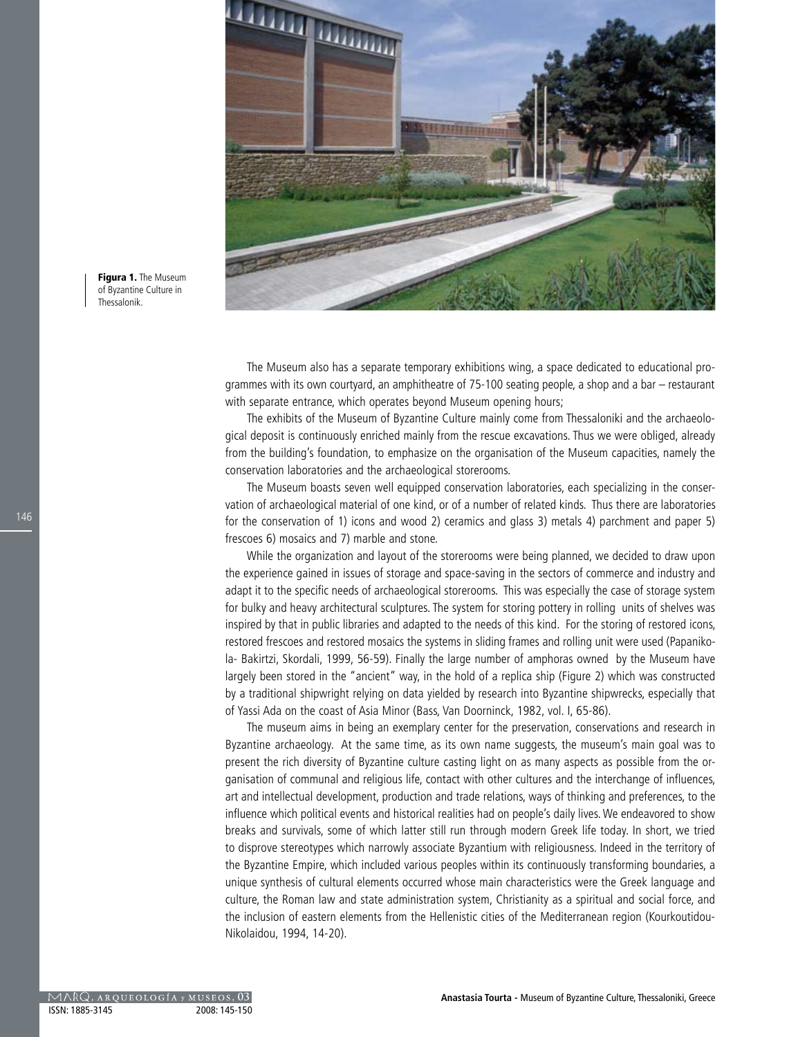

Figura 1. The Museum of Byzantine Culture in Thessalonik.

> The Museum also has a separate temporary exhibitions wing, a space dedicated to educational programmes with its own courtyard, an amphitheatre of 75-100 seating people, a shop and a bar – restaurant with separate entrance, which operates beyond Museum opening hours;

> The exhibits of the Museum of Byzantine Culture mainly come from Thessaloniki and the archaeological deposit is continuously enriched mainly from the rescue excavations. Thus we were obliged, already from the building's foundation, to emphasize on the organisation of the Museum capacities, namely the conservation laboratories and the archaeological storerooms.

> The Museum boasts seven well equipped conservation laboratories, each specializing in the conservation of archaeological material of one kind, or of a number of related kinds. Thus there are laboratories for the conservation of 1) icons and wood 2) ceramics and glass 3) metals 4) parchment and paper 5) frescoes 6) mosaics and 7) marble and stone.

> While the organization and layout of the storerooms were being planned, we decided to draw upon the experience gained in issues of storage and space-saving in the sectors of commerce and industry and adapt it to the specific needs of archaeological storerooms. This was especially the case of storage system for bulky and heavy architectural sculptures. The system for storing pottery in rolling units of shelves was inspired by that in public libraries and adapted to the needs of this kind. For the storing of restored icons, restored frescoes and restored mosaics the systems in sliding frames and rolling unit were used (Papanikola- Bakirtzi, Skordali, 1999, 56-59). Finally the large number of amphoras owned by the Museum have largely been stored in the "ancient" way, in the hold of a replica ship (Figure 2) which was constructed by a traditional shipwright relying on data yielded by research into Byzantine shipwrecks, especially that of Yassi Ada on the coast of Asia Minor (Bass, Van Doorninck, 1982, vol. I, 65-86).

> The museum aims in being an exemplary center for the preservation, conservations and research in Byzantine archaeology. At the same time, as its own name suggests, the museum's main goal was to present the rich diversity of Byzantine culture casting light on as many aspects as possible from the organisation of communal and religious life, contact with other cultures and the interchange of influences, art and intellectual development, production and trade relations, ways of thinking and preferences, to the influence which political events and historical realities had on people's daily lives. We endeavored to show breaks and survivals, some of which latter still run through modern Greek life today. In short, we tried to disprove stereotypes which narrowly associate Byzantium with religiousness. Indeed in the territory of the Byzantine Empire, which included various peoples within its continuously transforming boundaries, a unique synthesis of cultural elements occurred whose main characteristics were the Greek language and culture, the Roman law and state administration system, Christianity as a spiritual and social force, and the inclusion of eastern elements from the Hellenistic cities of the Mediterranean region (Kourkoutidou-Nikolaidou, 1994, 14-20).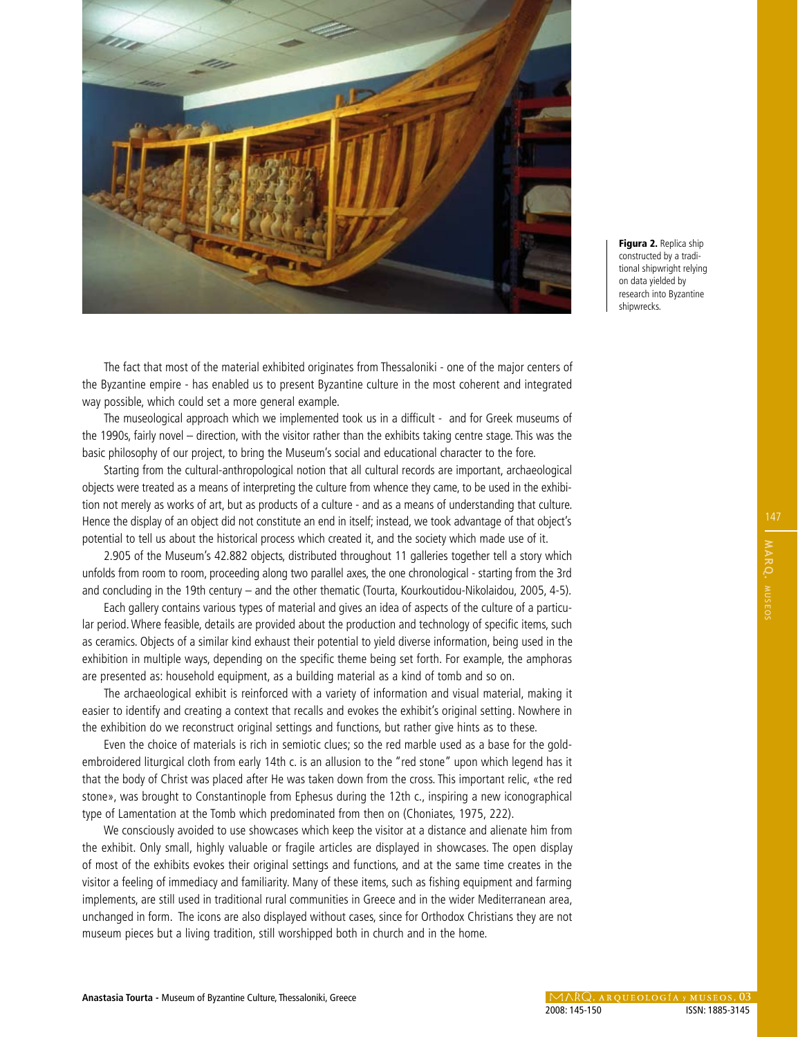

Figura 2. Replica ship constructed by a traditional shipwright relying on data yielded by research into Byzantine shipwrecks.

The fact that most of the material exhibited originates from Thessaloniki - one of the major centers of the Byzantine empire - has enabled us to present Byzantine culture in the most coherent and integrated way possible, which could set a more general example.

The museological approach which we implemented took us in a difficult - and for Greek museums of the 1990s, fairly novel – direction, with the visitor rather than the exhibits taking centre stage. This was the basic philosophy of our project, to bring the Museum's social and educational character to the fore.

Starting from the cultural-anthropological notion that all cultural records are important, archaeological objects were treated as a means of interpreting the culture from whence they came, to be used in the exhibition not merely as works of art, but as products of a culture - and as a means of understanding that culture. Hence the display of an object did not constitute an end in itself; instead, we took advantage of that object's potential to tell us about the historical process which created it, and the society which made use of it.

2.905 of the Museum's 42.882 objects, distributed throughout 11 galleries together tell a story which unfolds from room to room, proceeding along two parallel axes, the one chronological - starting from the 3rd and concluding in the 19th century – and the other thematic (Tourta, Kourkoutidou-Nikolaidou, 2005, 4-5).

Each gallery contains various types of material and gives an idea of aspects of the culture of a particular period. Where feasible, details are provided about the production and technology of specific items, such as ceramics. Objects of a similar kind exhaust their potential to yield diverse information, being used in the exhibition in multiple ways, depending on the specific theme being set forth. For example, the amphoras are presented as: household equipment, as a building material as a kind of tomb and so on.

The archaeological exhibit is reinforced with a variety of information and visual material, making it easier to identify and creating a context that recalls and evokes the exhibit's original setting. Nowhere in the exhibition do we reconstruct original settings and functions, but rather give hints as to these.

Even the choice of materials is rich in semiotic clues; so the red marble used as a base for the goldembroidered liturgical cloth from early 14th c. is an allusion to the "red stone" upon which legend has it that the body of Christ was placed after He was taken down from the cross. This important relic, «the red stone», was brought to Constantinople from Ephesus during the 12th c., inspiring a new iconographical type of Lamentation at the Tomb which predominated from then on (Choniates, 1975, 222).

We consciously avoided to use showcases which keep the visitor at a distance and alienate him from the exhibit. Only small, highly valuable or fragile articles are displayed in showcases. The open display of most of the exhibits evokes their original settings and functions, and at the same time creates in the visitor a feeling of immediacy and familiarity. Many of these items, such as fishing equipment and farming implements, are still used in traditional rural communities in Greece and in the wider Mediterranean area, unchanged in form. The icons are also displayed without cases, since for Orthodox Christians they are not museum pieces but a living tradition, still worshipped both in church and in the home.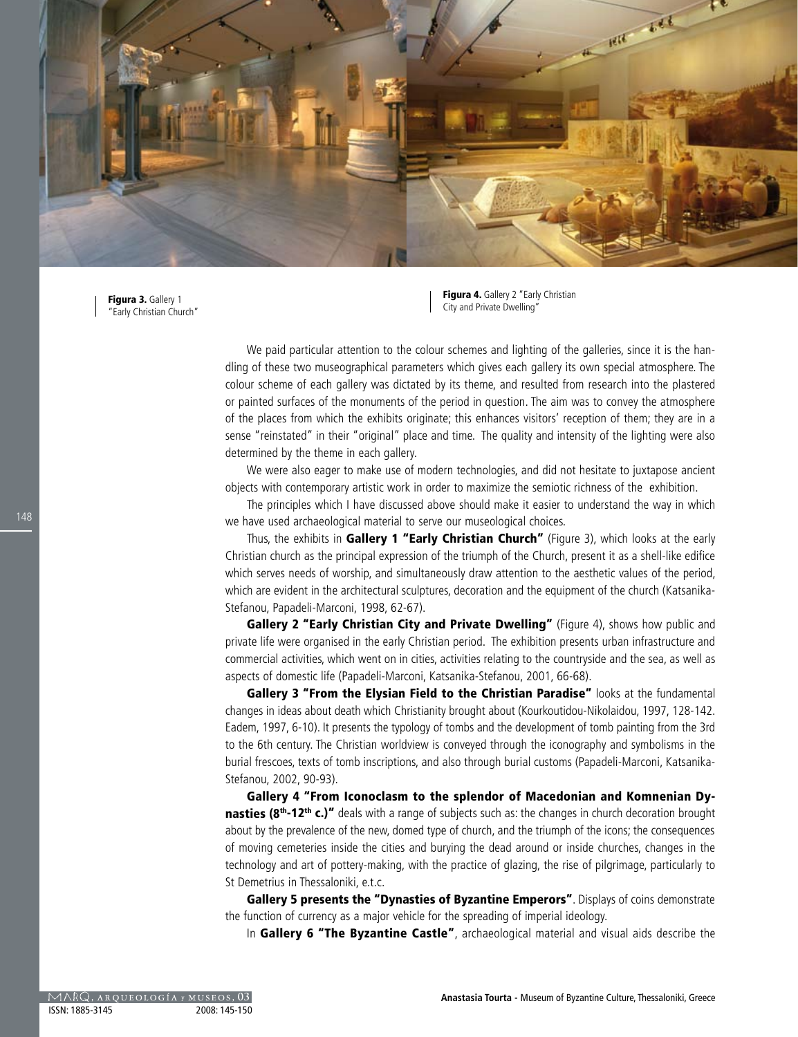

Figura 3. Gallery 1 "Early Christian Church"

Figura 4. Gallery 2 "Early Christian City and Private Dwelling"

We paid particular attention to the colour schemes and lighting of the galleries, since it is the handling of these two museographical parameters which gives each gallery its own special atmosphere. The colour scheme of each gallery was dictated by its theme, and resulted from research into the plastered or painted surfaces of the monuments of the period in question. The aim was to convey the atmosphere of the places from which the exhibits originate; this enhances visitors' reception of them; they are in a sense "reinstated" in their "original" place and time. The quality and intensity of the lighting were also determined by the theme in each gallery.

We were also eager to make use of modern technologies, and did not hesitate to juxtapose ancient objects with contemporary artistic work in order to maximize the semiotic richness of the exhibition.

The principles which I have discussed above should make it easier to understand the way in which we have used archaeological material to serve our museological choices.

Thus, the exhibits in Gallery 1 "Early Christian Church" (Figure 3), which looks at the early Christian church as the principal expression of the triumph of the Church, present it as a shell-like edifice which serves needs of worship, and simultaneously draw attention to the aesthetic values of the period, which are evident in the architectural sculptures, decoration and the equipment of the church (Katsanika-Stefanou, Papadeli-Marconi, 1998, 62-67).

Gallery 2 "Early Christian City and Private Dwelling" (Figure 4), shows how public and private life were organised in the early Christian period. The exhibition presents urban infrastructure and commercial activities, which went on in cities, activities relating to the countryside and the sea, as well as aspects of domestic life (Papadeli-Marconi, Katsanika-Stefanou, 2001, 66-68).

Gallery 3 "From the Elysian Field to the Christian Paradise" looks at the fundamental changes in ideas about death which Christianity brought about (Kourkoutidou-Nikolaidou, 1997, 128-142. Eadem, 1997, 6-10). It presents the typology of tombs and the development of tomb painting from the 3rd to the 6th century. The Christian worldview is conveyed through the iconography and symbolisms in the burial frescoes, texts of tomb inscriptions, and also through burial customs (Papadeli-Marconi, Katsanika-Stefanou, 2002, 90-93).

Gallery 4 "From Iconoclasm to the splendor of Macedonian and Komnenian Dynasties (8<sup>th</sup>-12<sup>th</sup> c.)" deals with a range of subjects such as: the changes in church decoration brought about by the prevalence of the new, domed type of church, and the triumph of the icons; the consequences of moving cemeteries inside the cities and burying the dead around or inside churches, changes in the technology and art of pottery-making, with the practice of glazing, the rise of pilgrimage, particularly to St Demetrius in Thessaloniki, e.t.c.

Gallery 5 presents the "Dynasties of Byzantine Emperors". Displays of coins demonstrate the function of currency as a major vehicle for the spreading of imperial ideology.

In Gallery 6 "The Byzantine Castle", archaeological material and visual aids describe the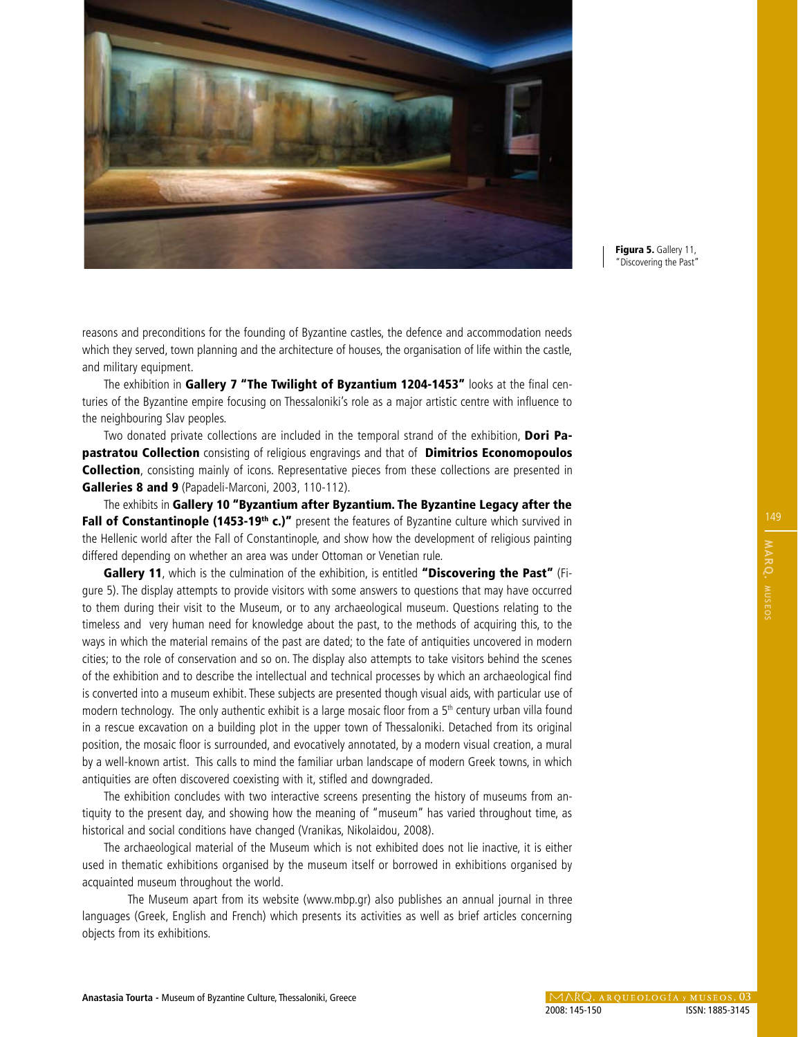

Figura 5. Gallery 11, "Discovering the Past"

reasons and preconditions for the founding of Byzantine castles, the defence and accommodation needs which they served, town planning and the architecture of houses, the organisation of life within the castle, and military equipment.

The exhibition in Gallery 7 "The Twilight of Byzantium 1204-1453" looks at the final centuries of the Byzantine empire focusing on Thessaloniki's role as a major artistic centre with influence to the neighbouring Slav peoples.

Two donated private collections are included in the temporal strand of the exhibition, Dori Papastratou Collection consisting of religious engravings and that of Dimitrios Economopoulos **Collection**, consisting mainly of icons. Representative pieces from these collections are presented in Galleries 8 and 9 (Papadeli-Marconi, 2003, 110-112).

The exhibits in Gallery 10 "Byzantium after Byzantium. The Byzantine Legacy after the Fall of Constantinople (1453-19<sup>th</sup> c.)" present the features of Byzantine culture which survived in the Hellenic world after the Fall of Constantinople, and show how the development of religious painting differed depending on whether an area was under Ottoman or Venetian rule.

Gallery 11, which is the culmination of the exhibition, is entitled "Discovering the Past" (Figure 5). The display attempts to provide visitors with some answers to questions that may have occurred to them during their visit to the Museum, or to any archaeological museum. Questions relating to the timeless and very human need for knowledge about the past, to the methods of acquiring this, to the ways in which the material remains of the past are dated; to the fate of antiquities uncovered in modern cities; to the role of conservation and so on. The display also attempts to take visitors behind the scenes of the exhibition and to describe the intellectual and technical processes by which an archaeological find is converted into a museum exhibit. These subjects are presented though visual aids, with particular use of modern technology. The only authentic exhibit is a large mosaic floor from a  $5<sup>th</sup>$  century urban villa found in a rescue excavation on a building plot in the upper town of Thessaloniki. Detached from its original position, the mosaic floor is surrounded, and evocatively annotated, by a modern visual creation, a mural by a well-known artist. This calls to mind the familiar urban landscape of modern Greek towns, in which antiquities are often discovered coexisting with it, stifled and downgraded.

The exhibition concludes with two interactive screens presenting the history of museums from antiquity to the present day, and showing how the meaning of "museum" has varied throughout time, as historical and social conditions have changed (Vranikas, Nikolaidou, 2008).

The archaeological material of the Museum which is not exhibited does not lie inactive, it is either used in thematic exhibitions organised by the museum itself or borrowed in exhibitions organised by acquainted museum throughout the world.

The Museum apart from its website (www.mbp.gr) also publishes an annual journal in three languages (Greek, English and French) which presents its activities as well as brief articles concerning objects from its exhibitions.